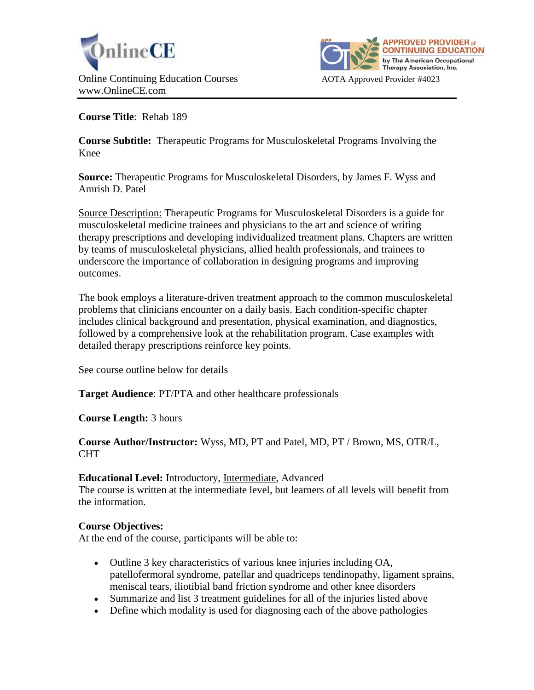



**Course Title**: Rehab 189

**Course Subtitle:** Therapeutic Programs for Musculoskeletal Programs Involving the Knee

**Source:** Therapeutic Programs for Musculoskeletal Disorders, by James F. Wyss and Amrish D. Patel

Source Description: Therapeutic Programs for Musculoskeletal Disorders is a guide for musculoskeletal medicine trainees and physicians to the art and science of writing therapy prescriptions and developing individualized treatment plans. Chapters are written by teams of musculoskeletal physicians, allied health professionals, and trainees to underscore the importance of collaboration in designing programs and improving outcomes.

The book employs a literature-driven treatment approach to the common musculoskeletal problems that clinicians encounter on a daily basis. Each condition-specific chapter includes clinical background and presentation, physical examination, and diagnostics, followed by a comprehensive look at the rehabilitation program. Case examples with detailed therapy prescriptions reinforce key points.

See course outline below for details

**Target Audience**: PT/PTA and other healthcare professionals

**Course Length:** 3 hours

## **Course Author/Instructor:** Wyss, MD, PT and Patel, MD, PT / Brown, MS, OTR/L, CHT

# **Educational Level:** Introductory, Intermediate, Advanced

The course is written at the intermediate level, but learners of all levels will benefit from the information.

# **Course Objectives:**

At the end of the course, participants will be able to:

- Outline 3 key characteristics of various knee injuries including OA, patellofermoral syndrome, patellar and quadriceps tendinopathy, ligament sprains, meniscal tears, iliotibial band friction syndrome and other knee disorders
- Summarize and list 3 treatment guidelines for all of the injuries listed above
- Define which modality is used for diagnosing each of the above pathologies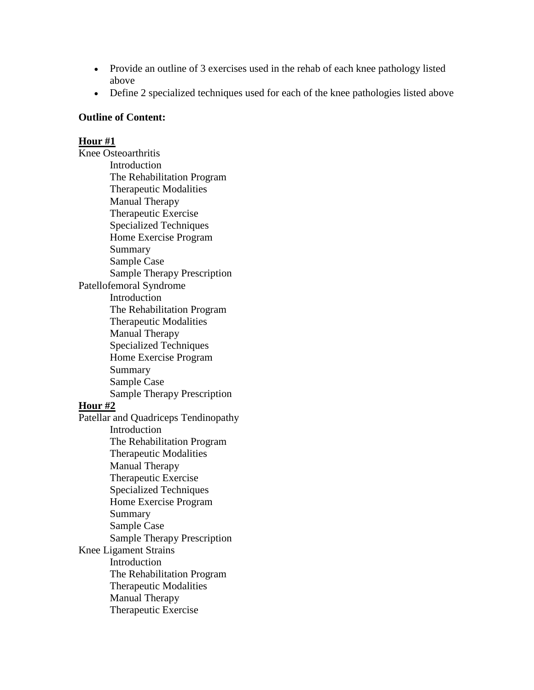- Provide an outline of 3 exercises used in the rehab of each knee pathology listed above
- Define 2 specialized techniques used for each of the knee pathologies listed above

### **Outline of Content:**

### **Hour #1**

Knee Osteoarthritis Introduction The Rehabilitation Program Therapeutic Modalities Manual Therapy Therapeutic Exercise Specialized Techniques Home Exercise Program Summary Sample Case Sample Therapy Prescription Patellofemoral Syndrome Introduction The Rehabilitation Program Therapeutic Modalities Manual Therapy Specialized Techniques Home Exercise Program Summary Sample Case Sample Therapy Prescription **Hour #2** Patellar and Quadriceps Tendinopathy Introduction The Rehabilitation Program Therapeutic Modalities Manual Therapy Therapeutic Exercise Specialized Techniques Home Exercise Program Summary Sample Case Sample Therapy Prescription Knee Ligament Strains **Introduction** The Rehabilitation Program Therapeutic Modalities Manual Therapy Therapeutic Exercise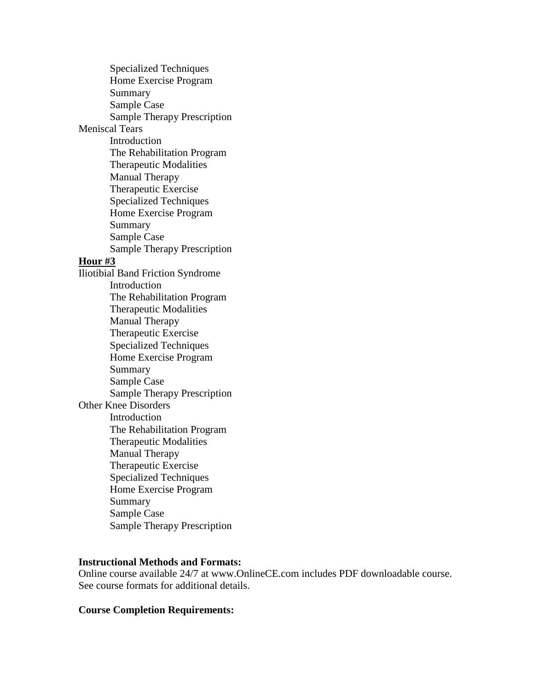Specialized Techniques Home Exercise Program Summary Sample Case Sample Therapy Prescription Meniscal Tears Introduction The Rehabilitation Program Therapeutic Modalities Manual Therapy Therapeutic Exercise Specialized Techniques Home Exercise Program Summary Sample Case Sample Therapy Prescription **Hour #3** Iliotibial Band Friction Syndrome Introduction The Rehabilitation Program Therapeutic Modalities Manual Therapy Therapeutic Exercise Specialized Techniques Home Exercise Program Summary Sample Case Sample Therapy Prescription Other Knee Disorders Introduction The Rehabilitation Program Therapeutic Modalities Manual Therapy Therapeutic Exercise Specialized Techniques Home Exercise Program Summary Sample Case Sample Therapy Prescription

### **Instructional Methods and Formats:**

Online course available 24/7 at www.OnlineCE.com includes PDF downloadable course. See course formats for additional details.

#### **Course Completion Requirements:**